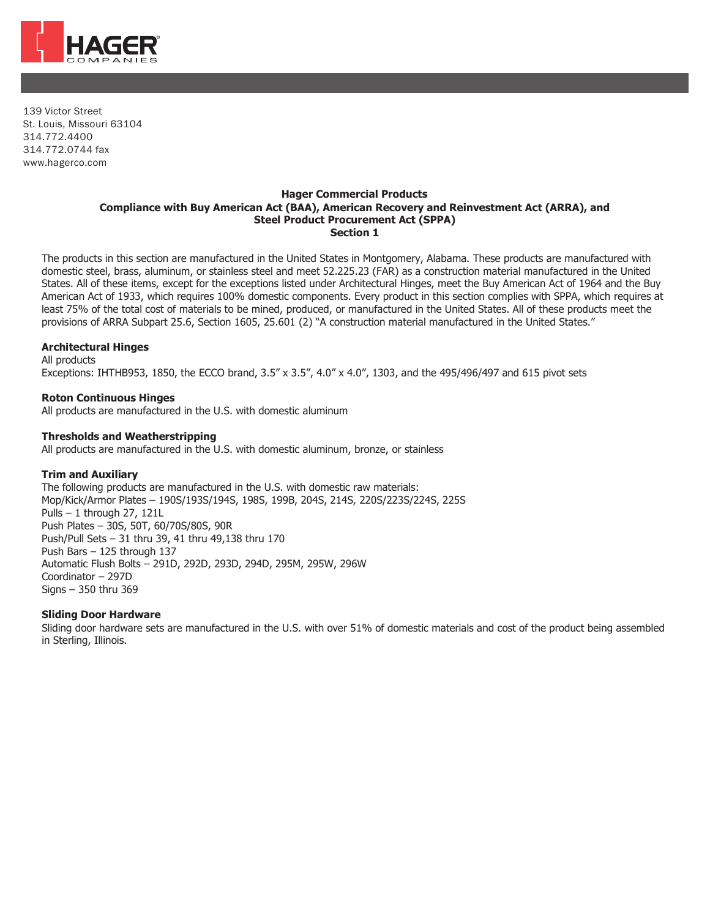

139 Victor Street St. Louis, Missouri 63104 314.772.4400 314.772.0744 fax [www.hagerco.com](http://www.hagerco.com/)

#### **Hager Commercial Products Compliance with Buy American Act (BAA), American Recovery and Reinvestment Act (ARRA), and Steel Product Procurement Act (SPPA) Section 1**

The products in this section are manufactured in the United States in Montgomery, Alabama. These products are manufactured with domestic steel, brass, aluminum, or stainless steel and meet 52.225.23 (FAR) as a construction material manufactured in the United States. All of these items, except for the exceptions listed under Architectural Hinges, meet the Buy American Act of 1964 and the Buy American Act of 1933, which requires 100% domestic components. Every product in this section complies with SPPA, which requires at least 75% of the total cost of materials to be mined, produced, or manufactured in the United States. All of these products meet the provisions of ARRA Subpart 25.6, Section 1605, 25.601 (2) "A construction material manufactured in the United States."

# **Architectural Hinges**

All products

Exceptions: IHTHB953, 1850, the ECCO brand, 3.5" x 3.5", 4.0" x 4.0", 1303, and the 495/496/497 and 615 pivot sets

## **Roton Continuous Hinges**

All products are manufactured in the U.S. with domestic aluminum

#### **Thresholds and Weatherstripping**

All products are manufactured in the U.S. with domestic aluminum, bronze, or stainless

#### **Trim and Auxiliary**

The following products are manufactured in the U.S. with domestic raw materials: Mop/Kick/Armor Plates – 190S/193S/194S, 198S, 199B, 204S, 214S, 220S/223S/224S, 225S Pulls – 1 through 27, 121L Push Plates – 30S, 50T, 60/70S/80S, 90R Push/Pull Sets – 31 thru 39, 41 thru 49,138 thru 170 Push Bars – 125 through 137 Automatic Flush Bolts – 291D, 292D, 293D, 294D, 295M, 295W, 296W Coordinator – 297D Signs – 350 thru 369

#### **Sliding Door Hardware**

Sliding door hardware sets are manufactured in the U.S. with over 51% of domestic materials and cost of the product being assembled in Sterling, Illinois.